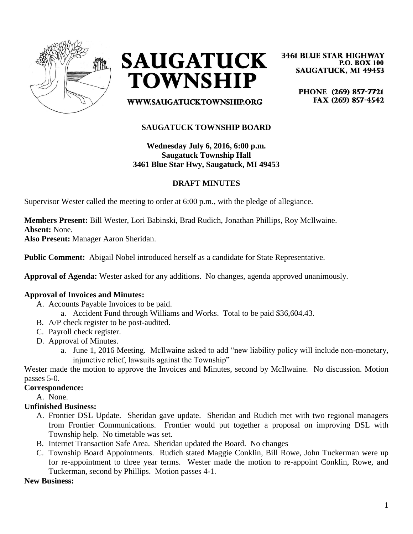



**3461 BLUE STAR HIGHWAY P.O. BOX 100 SAUGATUCK, MI 49453** 

> PHONE (269) 857-7721 FAX (269) 857-4542

WWW.SAUGATUCKTOWNSHIP.ORG

# **SAUGATUCK TOWNSHIP BOARD**

**Wednesday July 6, 2016, 6:00 p.m. Saugatuck Township Hall 3461 Blue Star Hwy, Saugatuck, MI 49453**

### **DRAFT MINUTES**

Supervisor Wester called the meeting to order at 6:00 p.m., with the pledge of allegiance.

**Members Present:** Bill Wester, Lori Babinski, Brad Rudich, Jonathan Phillips, Roy McIlwaine. **Absent:** None.

**Also Present:** Manager Aaron Sheridan.

**Public Comment:** Abigail Nobel introduced herself as a candidate for State Representative.

**Approval of Agenda:** Wester asked for any additions. No changes, agenda approved unanimously.

### **Approval of Invoices and Minutes:**

- A. Accounts Payable Invoices to be paid.
	- a. Accident Fund through Williams and Works. Total to be paid \$36,604.43.
- B. A/P check register to be post-audited.
- C. Payroll check register.
- D. Approval of Minutes.
	- a. June 1, 2016 Meeting. McIlwaine asked to add "new liability policy will include non-monetary, injunctive relief, lawsuits against the Township"

Wester made the motion to approve the Invoices and Minutes, second by McIlwaine. No discussion. Motion passes 5-0.

#### **Correspondence:**

A. None.

### **Unfinished Business:**

- A. Frontier DSL Update. Sheridan gave update. Sheridan and Rudich met with two regional managers from Frontier Communications. Frontier would put together a proposal on improving DSL with Township help. No timetable was set.
- B. Internet Transaction Safe Area. Sheridan updated the Board. No changes
- C. Township Board Appointments. Rudich stated Maggie Conklin, Bill Rowe, John Tuckerman were up for re-appointment to three year terms. Wester made the motion to re-appoint Conklin, Rowe, and Tuckerman, second by Phillips. Motion passes 4-1.

**New Business:**